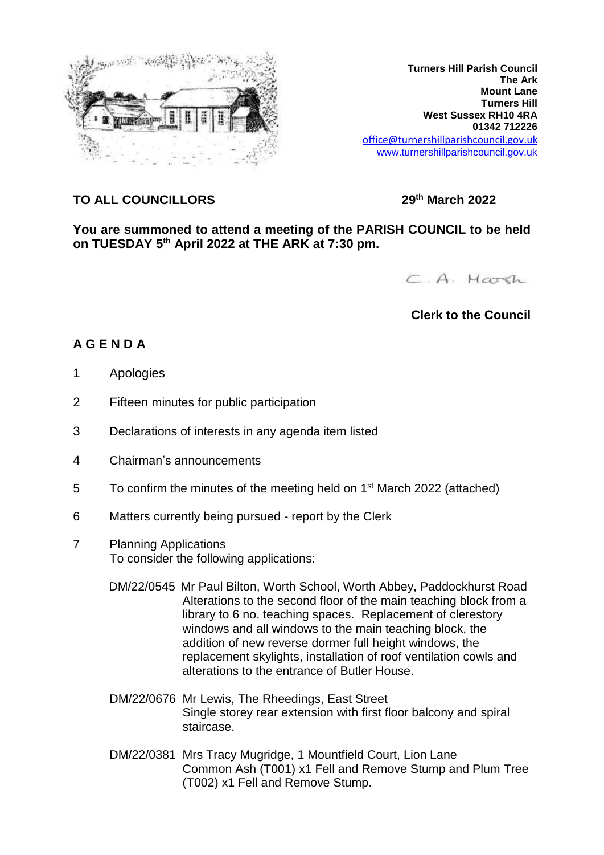

**Turners Hill Parish Council The Ark Mount Lane Turners Hill West Sussex RH10 4RA 01342 712226** office@turnershillparishcouncil.gov.uk [www.turnershillparishcouncil.gov.uk](http://www.turnershillparishcouncil.gov.uk/)

## **TO ALL COUNCILLORS 29th March 2022**

**You are summoned to attend a meeting of the PARISH COUNCIL to be held on TUESDAY 5 th April 2022 at THE ARK at 7:30 pm.**

C.A. Harsh

## **Clerk to the Council**

## **A G E N D A**

- 1 Apologies
- 2 Fifteen minutes for public participation
- 3 Declarations of interests in any agenda item listed
- 4 Chairman's announcements
- 5 To confirm the minutes of the meeting held on 1<sup>st</sup> March 2022 (attached)
- 6 Matters currently being pursued report by the Clerk
- 7 Planning Applications To consider the following applications:
	- DM/22/0545 Mr Paul Bilton, Worth School, Worth Abbey, Paddockhurst Road Alterations to the second floor of the main teaching block from a library to 6 no. teaching spaces. Replacement of clerestory windows and all windows to the main teaching block, the addition of new reverse dormer full height windows, the replacement skylights, installation of roof ventilation cowls and alterations to the entrance of Butler House.
	- DM/22/0676 Mr Lewis, The Rheedings, East Street Single storey rear extension with first floor balcony and spiral staircase.
	- DM/22/0381 Mrs Tracy Mugridge, 1 Mountfield Court, Lion Lane Common Ash (T001) x1 Fell and Remove Stump and Plum Tree (T002) x1 Fell and Remove Stump.